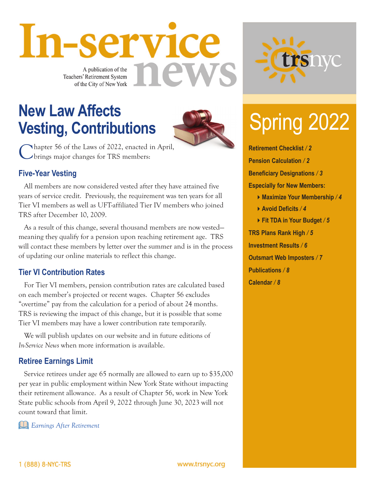A publication of the **Teachers' Retirement System** of the City of New York

In-service

## **New Law Affects**<br> **Nesting Contributions Vesting, Contributions**



Chapter 56 of the Laws of 2022, enacted in April, brings major changes for TRS members:

### **Five-Year Vesting**

All members are now considered vested after they have attained five years of service credit. Previously, the requirement was ten years for all Tier VI members as well as UFT-affiliated Tier IV members who joined TRS after December 10, 2009.

As a result of this change, several thousand members are now vested meaning they qualify for a pension upon reaching retirement age. TRS will contact these members by letter over the summer and is in the process of updating our online materials to reflect this change.

### **Tier VI Contribution Rates**

For Tier VI members, pension contribution rates are calculated based on each member's projected or recent wages. Chapter 56 excludes "overtime" pay from the calculation for a period of about 24 months. TRS is reviewing the impact of this change, but it is possible that some Tier VI members may have a lower contribution rate temporarily.

We will publish updates on our website and in future editions of *In-Service News* when more information is available.

### **Retiree Earnings Limit**

Service retirees under age 65 normally are allowed to earn up to \$35,000 per year in public employment within New York State without impacting their retirement allowance. As a result of Chapter 56, work in New York State public schools from April 9, 2022 through June 30, 2023 will not count toward that limit.

*[Earnings After Retirement](https://www.trsnyc.org/memberportal/WebContent/publications/brochures/Brochure93)*



**Retirement Checklist** */ 2* **Pension Calculation** */ 2* **Beneficiary Designations** */ 3* **Especially for New Members: Maximize Your Membership** */ 4* **Avoid Deficits** */ 4* **Fit TDA in Your Budget** */ 5* **TRS Plans Rank High** */ 5* **Investment Results** */ 6* **Outsmart Web Imposters** */ 7* **Publications** */ 8* **Calendar** */ 8*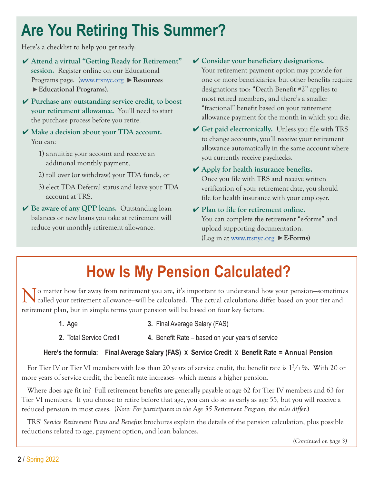## **Are You Retiring This Summer?**

Here's a checklist to help you get ready:

- ✔ **Attend a virtual "Getting Ready for Retirement" session.** Register online on our Educational Programs page. [\(www.trsnyc.org](https://www.trsnyc.org) **Resources Educational Programs**).
- ✔ **Purchase any outstanding service credit, to boost your retirement allowance.** You'll need to start the purchase process before you retire.
- ✔ **Make a decision about your TDA account.** You can:
	- 1) annuitize your account and receive an additional monthly payment,
	- 2) roll over (or withdraw) your TDA funds, or
	- 3) elect TDA Deferral status and leave your TDA account at TRS.
- ✔ **Be aware of any QPP loans.** Outstanding loan balances or new loans you take at retirement will reduce your monthly retirement allowance.

#### ✔ **Consider your beneficiary designations.**

Your retirement payment option may provide for one or more beneficiaries, but other benefits require designations too: "Death Benefit #2" applies to most retired members, and there's a smaller "fractional" benefit based on your retirement allowance payment for the month in which you die.

- ✔ **Get paid electronically.** Unless you file with TRS to change accounts, you'll receive your retirement allowance automatically in the same account where you currently receive paychecks.
- ✔ **Apply for health insurance benefits.** Once you file with TRS and receive written verification of your retirement date, you should file for health insurance with your employer.
- ✔ **Plan to file for retirement online.** You can complete the retirement "e-forms" and upload supporting documentation. (Log in at [www.trsnyc.org](https://www.trsnyc.org) **E-Forms)**

## **How Is My Pension Calculated?**

To matter how far away from retirement you are, it's important to understand how your pension-sometimes called your retirement allowance—will be calculated. The actual calculations differ based on your tier and retirement plan, but in simple terms your pension will be based on four key factors:

- 
- **1.** Age **3.** Final Average Salary (FAS)
- **2.** Total Service Credit **4.** Benefit Rate based on your years of service

#### **Here's the formula: Final Average Salary (FAS) X Service Credit X Benefit Rate = Annual Pension**

For Tier IV or Tier VI members with less than 20 years of service credit, the benefit rate is  $1^2/3\%$ . With 20 or more years of service credit, the benefit rate increases—which means a higher pension.

Where does age fit in? Full retirement benefits are generally payable at age 62 for Tier IV members and 63 for Tier VI members. If you choose to retire before that age, you can do so as early as age 55, but you will receive a reduced pension in most cases. (*Note: For participants in the Age 55 Retirement Program, the rules differ.*)

TRS' *Service Retirement Plans and Benefits* brochures explain the details of the pension calculation, plus possible reductions related to age, payment option, and loan balances.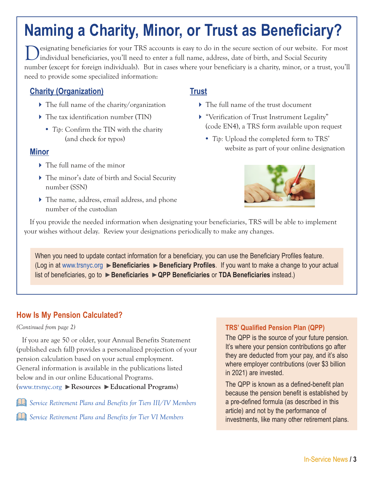## **Naming a Charity, Minor, or Trust as Beneficiary?**

esignating beneficiaries for your TRS accounts is easy to do in the secure section of our website. For most individual beneficiaries, you'll need to enter a full name, address, date of birth, and Social Security number (except for foreign individuals). But in cases where your beneficiary is a charity, minor, or a trust, you'll need to provide some specialized information:

### **Charity (Organization)**

- The full name of the charity/organization
- ▶ The tax identification number (TIN)
	- *Tip:* Confirm the TIN with the charity (and check for typos)

### **Minor**

- The full name of the minor
- The minor's date of birth and Social Security number (SSN)
- The name, address, email address, and phone number of the custodian

### **Trust**

- The full name of the trust document
- "Verification of Trust Instrument Legality" (code EN4), a TRS form available upon request
	- *Tip:* Upload the completed form to TRS' website as part of your online designation



If you provide the needed information when designating your beneficiaries, TRS will be able to implement your wishes without delay. Review your designations periodically to make any changes.

When you need to update contact information for a beneficiary, you can use the Beneficiary Profiles feature. (Log in at [www.trsnyc.org](https://www.trsnyc.org) **Beneficiaries Beneficiary Profiles**. If you want to make a change to your actual list of beneficiaries, go to **Beneficiaries QPP Beneficiaries** or **TDA Beneficiaries** instead.)

### **How Is My Pension Calculated?**

#### *(Continued from page 2)*

If you are age 50 or older, your Annual Benefits Statement (published each fall) provides a personalized projection of your pension calculation based on your actual employment. General information is available in the publications listed below and in our online Educational Programs. [\(www.trsnyc.org](https://www.trsnyc.org) **Resources Educational Programs**)

*[Service Retirement Plans and Benefits for Tiers III/IV Members](https://www.trsnyc.org/memberportal/WebContent/publications/brochures/Brochure72)*

*[Service Retirement Plans and Benefits for Tier VI Members](https://www.trsnyc.org/memberportal/WebContent/publications/brochures/Brochure79)*

### **TRS' Qualified Pension Plan (QPP)**

The QPP is the source of your future pension. It's where your pension contributions go after they are deducted from your pay, and it's also where employer contributions (over \$3 billion in 2021) are invested.

The QPP is known as a defined-benefit plan because the pension benefit is established by a pre-defined formula (as described in this article) and not by the performance of investments, like many other retirement plans.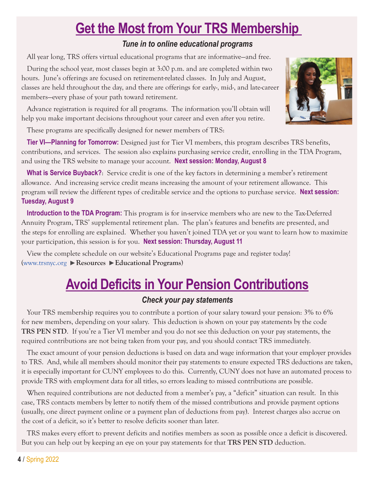## **Get the Most from Your TRS Membership**

### *Tune in to online educational programs*

All year long, TRS offers virtual educational programs that are informative—and free.

During the school year, most classes begin at 3:00 p.m. and are completed within two hours. June's offerings are focused on retirement-related classes. In July and August, classes are held throughout the day, and there are offerings for early-, mid-, and late-career members—every phase of your path toward retirement.

Advance registration is required for all programs. The information you'll obtain will help you make important decisions throughout your career and even after you retire.

These programs are specifically designed for newer members of TRS:

**Tier VI—Planning for Tomorrow:** Designed just for Tier VI members, this program describes TRS benefits, contributions, and services. The session also explains purchasing service credit, enrolling in the TDA Program, and using the TRS website to manage your account. **Next session: Monday, August 8**

**What is Service Buyback?**: Service credit is one of the key factors in determining a member's retirement allowance. And increasing service credit means increasing the amount of your retirement allowance. This program will review the different types of creditable service and the options to purchase service. **Next session: Tuesday, August 9**

**Introduction to the TDA Program:** This program is for in-service members who are new to the Tax-Deferred Annuity Program, TRS' supplemental retirement plan. The plan's features and benefits are presented, and the steps for enrolling are explained. Whether you haven't joined TDA yet or you want to learn how to maximize your participation, this session is for you. **Next session: Thursday, August 11**

View the complete schedule on our website's Educational Programs page and register today! [\(www.trsnyc.org](https://www.trsnyc.org) **Resources Educational Programs**)

## **Avoid Deficits in Your Pension Contributions**

### *Check your pay statements*

Your TRS membership requires you to contribute a portion of your salary toward your pension: 3% to 6% for new members, depending on your salary. This deduction is shown on your pay statements by the code **TRS PEN STD.** If you're a Tier VI member and you do not see this deduction on your pay statements, the required contributions are not being taken from your pay, and you should contact TRS immediately.

The exact amount of your pension deductions is based on data and wage information that your employer provides to TRS. And, while all members should monitor their pay statements to ensure expected TRS deductions are taken, it is especially important for CUNY employees to do this. Currently, CUNY does not have an automated process to provide TRS with employment data for all titles, so errors leading to missed contributions are possible.

When required contributions are not deducted from a member's pay, a "deficit" situation can result. In this case, TRS contacts members by letter to notify them of the missed contributions and provide payment options (usually, one direct payment online or a payment plan of deductions from pay). Interest charges also accrue on the cost of a deficit, so it's better to resolve deficits sooner than later.

TRS makes every effort to prevent deficits and notifies members as soon as possible once a deficit is discovered. But you can help out by keeping an eye on your pay statements for that **TRS PEN STD** deduction.

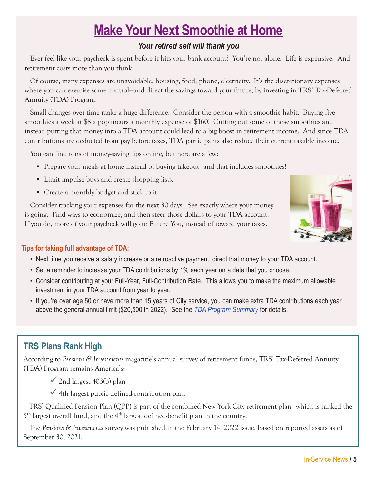## **Make Your Next Smoothie at Home**

### *Your retired self will thank you*

Ever feel like your paycheck is spent before it hits your bank account? You're not alone. Life is expensive. And retirement costs more than you think.

Of course, many expenses are unavoidable: housing, food, phone, electricity. It's the discretionary expenses where you can exercise some control—and direct the savings toward your future, by investing in TRS' Tax-Deferred Annuity (TDA) Program.

Small changes over time make a huge difference. Consider the person with a smoothie habit. Buying five smoothies a week at \$8 a pop incurs a monthly expense of \$160! Cutting out some of those smoothies and instead putting that money into a TDA account could lead to a big boost in retirement income. And since TDA contributions are deducted from pay before taxes, TDA participants also reduce their current taxable income.

You can find tons of money-saving tips online, but here are a few:

- Prepare your meals at home instead of buying takeout—and that includes smoothies!
- Limit impulse buys and create shopping lists.
- Create a monthly budget and stick to it.

Consider tracking your expenses for the next 30 days. See exactly where your money is going. Find ways to economize, and then steer those dollars to your TDA account. If you do, more of your paycheck will go to Future You, instead of toward your taxes.



### **Tips for taking full advantage of TDA:**

- Next time you receive a salary increase or a retroactive payment, direct that money to your TDA account.
- Set a reminder to increase your TDA contributions by 1% each year on a date that you choose.
- Consider contributing at your Full-Year, Full-Contribution Rate. This allows you to make the maximum allowable investment in your TDA account from year to year.
- If you're over age 50 or have more than 15 years of City service, you can make extra TDA contributions each year, above the general annual limit (\$20,500 in 2022). See the *[TDA Program Summary](https://www.trsnyc.org/memberportal/WebContent/publications/tdaBook.aspx)* for details.

## **TRS Plans Rank High**

According to *Pensions & Investments* magazine's annual survey of retirement funds, TRS' Tax-Deferred Annuity (TDA) Program remains America's:

- $\checkmark$  2nd largest 403(b) plan
- $\checkmark$  4th largest public defined-contribution plan

TRS' Qualified Pension Plan (QPP) is part of the combined New York City retirement plan—which is ranked the  $5<sup>th</sup>$  largest overall fund, and the  $4<sup>th</sup>$  largest defined-benefit plan in the country.

The *Pensions & Investments* survey was published in the February 14, 2022 issue, based on reported assets as of September 30, 2021.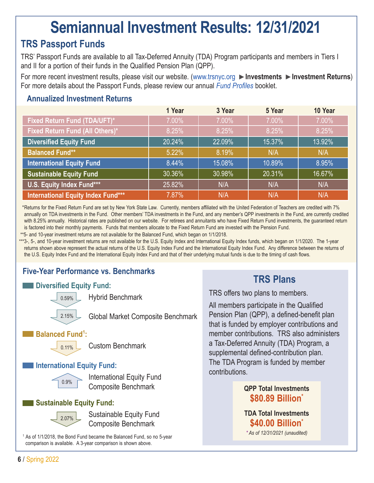## **Semiannual Investment Results: 12/31/2021**

### **TRS Passport Funds**

TRS' Passport Funds are available to all Tax-Deferred Annuity (TDA) Program participants and members in Tiers I and II for a portion of their funds in the Qualified Pension Plan (QPP).

For more recent investment results, please visit our website. [\(www.trsnyc.org](https://www.trsnyc.org) **Investments Investment Returns**) For more details about the Passport Funds, please review our annual *[Fund Profiles](https://www.trsnyc.org/memberportal/WebContent/publications/financialReports/fundProfilesWeb)* booklet.

### **Annualized Investment Returns**

|                                     | 1 Year | 3 Year | 5 Year | 10 Year |
|-------------------------------------|--------|--------|--------|---------|
| <b>Fixed Return Fund (TDA/UFT)*</b> | 7.00%  | 7.00%  | 7.00%  | 7.00%   |
| Fixed Return Fund (All Others)*     | 8.25%  | 8.25%  | 8.25%  | 8.25%   |
| <b>Diversified Equity Fund</b>      | 20.24% | 22.09% | 15.37% | 13.92%  |
| <b>Balanced Fund**</b>              | 5.22%  | 8.19%  | N/A    | N/A     |
| <b>International Equity Fund</b>    | 8.44%  | 15.08% | 10.89% | 8.95%   |
| <b>Sustainable Equity Fund</b>      | 30.36% | 30.98% | 20.31% | 16.67%  |
| U.S. Equity Index Fund***           | 25.82% | N/A    | N/A    | N/A     |
| International Equity Index Fund***  | 7.87%  | N/A    | N/A    | N/A     |

 *\**Returns for the Fixed Return Fund are set by New York State Law. Currently, members affiliated with the United Federation of Teachers are credited with 7% annually on TDA investments in the Fund. Other members' TDA investments in the Fund, and any member's QPP investments in the Fund, are currently credited with 8.25% annually. Historical rates are published on our website. For retirees and annuitants who have Fixed Return Fund investments, the quaranteed return is factored into their monthly payments. Funds that members allocate to the Fixed Return Fund are invested with the Pension Fund.

\*\*5- and 10-year investment returns are not available for the Balanced Fund, which began on 1/1/2018.

\*\*\*3-, 5-, and 10-year investment returns are not available for the U.S. Equity Index and International Equity Index funds, which began on 1/1/2020. The 1-year returns shown above represent the actual returns of the U.S. Equity Index Fund and the International Equity Index Fund. Any difference between the returns of the U.S. Equity Index Fund and the International Equity Index Fund and that of their underlying mutual funds is due to the timing of cash flows.

### **Five-Year Performance vs. Benchmarks**

### **Diversified Equity Fund:**



Hybrid Benchmark

Global Market Composite Benchmark

### Balanced Fund<sup>1</sup>:



Custom Benchmark

### **International Equity Fund:**



 International Equity Fund Composite Benchmark

### **Sustainable Equity Fund:**



 Sustainable Equity Fund Composite Benchmark

<sup>1</sup> As of 1/1/2018, the Bond Fund became the Balanced Fund, so no 5-year comparison is available. A 3-year comparison is shown above.

### **TRS Plans**

TRS offers two plans to members.

All members participate in the Qualified Pension Plan (QPP), a defined-benefit plan that is funded by employer contributions and member contributions. TRS also administers a Tax-Deferred Annuity (TDA) Program, a supplemental defined-contribution plan. The TDA Program is funded by member contributions.

### **QPP Total Investments \$80.89 Billion\***

**TDA Total Investments \$40.00 Billion\*** *\* As of 12/31/2021 (unaudited)*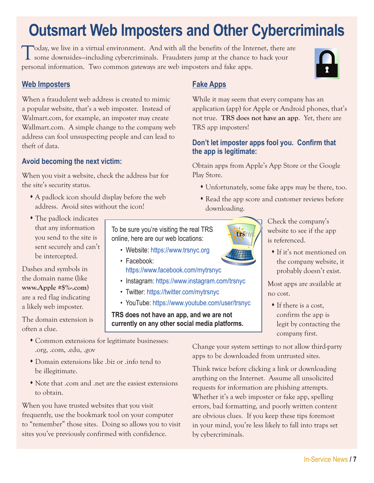# **Outsmart Web Imposters and Other Cybercriminals**

Today, we live in a virtual environment. And with all the benefits of the Internet, there are some downsides—including cybercriminals. Fraudsters jump at the chance to hack your personal information. Two common gateways are web imposters and fake apps.

### **Web Imposters**

When a fraudulent web address is created to mimic a popular website, that's a web imposter. Instead of Walmart.com, for example, an imposter may create Wallmart.com. A simple change to the company web address can fool unsuspecting people and can lead to theft of data.

### **Avoid becoming the next victim:**

When you visit a website, check the address bar for the site's security status.

- A padlock icon should display before the web address. Avoid sites without the icon!
- The padlock indicates that any information you send to the site is sent securely and can't be intercepted.

Dashes and symbols in the domain name (like **www.Apple #\$%-.com**) are a red flag indicating a likely web imposter.

The domain extension is often a clue.

To be sure you're visiting the real TRS online, here are our web locations:

- Website:<https://www.trsnyc.org>
- Facebook: <https://www.facebook.com/mytrsnyc>
- Instagram:<https://www.instagram.com/trsnyc>
- Twitter:<https://twitter.com/mytrsnyc>
- YouTube:<https://www.youtube.com/user/trsnyc>

**TRS does not have an app, and we are not currently on any other social media platforms.**

- Common extensions for legitimate businesses: .org, .com, .edu, .gov
- Domain extensions like .biz or .info tend to be illegitimate.
- Note that .com and .net are the easiest extensions to obtain.

When you have trusted websites that you visit frequently, use the bookmark tool on your computer to "remember" those sites. Doing so allows you to visit sites you've previously confirmed with confidence.

### **Fake Apps**



### **Don't let imposter apps fool you. Confirm that the app is legitimate:**

Obtain apps from Apple's App Store or the Google Play Store.

- Unfortunately, some fake apps may be there, too.
- Read the app score and customer reviews before downloading.

Check the company's website to see if the app is referenced.

 If it's not mentioned on the company website, it probably doesn't exist.

Most apps are available at no cost.

 If there is a cost, confirm the app is legit by contacting the company first.

Change your system settings to not allow third-party apps to be downloaded from untrusted sites.

Think twice before clicking a link or downloading anything on the Internet. Assume all unsolicited requests for information are phishing attempts. Whether it's a web imposter or fake app, spelling errors, bad formatting, and poorly written content are obvious clues. If you keep these tips foremost in your mind, you're less likely to fall into traps set by cybercriminals.